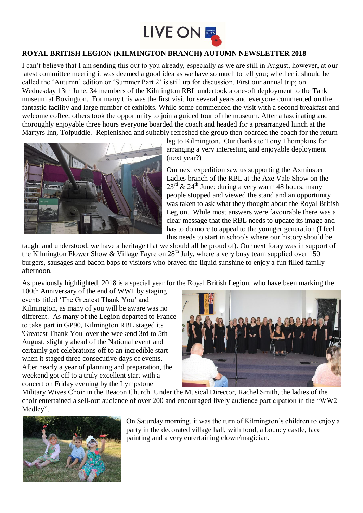

## **ROYAL BRITISH LEGION (KILMINGTON BRANCH) AUTUMN NEWSLETTER 2018**

I can't believe that I am sending this out to you already, especially as we are still in August, however, at our latest committee meeting it was deemed a good idea as we have so much to tell you; whether it should be called the 'Autumn' edition or 'Summer Part 2' is still up for discussion. First our annual trip; on Wednesday 13th June, 34 members of the Kilmington RBL undertook a one-off deployment to the Tank museum at Bovington. For many this was the first visit for several years and everyone commented on the fantastic facility and large number of exhibits. While some commenced the visit with a second breakfast and welcome coffee, others took the opportunity to join a guided tour of the museum. After a fascinating and thoroughly enjoyable three hours everyone boarded the coach and headed for a prearranged lunch at the Martyrs Inn, Tolpuddle. Replenished and suitably refreshed the group then boarded the coach for the return



leg to Kilmington. Our thanks to Tony Thompkins for arranging a very interesting and enjoyable deployment (next year?)

Our next expedition saw us supporting the Axminster Ladies branch of the RBL at the Axe Vale Show on the  $23^{\text{rd}}$  &  $24^{\text{th}}$  June; during a very warm 48 hours, many people stopped and viewed the stand and an opportunity was taken to ask what they thought about the Royal British Legion. While most answers were favourable there was a clear message that the RBL needs to update its image and has to do more to appeal to the younger generation (I feel this needs to start in schools where our history should be

taught and understood, we have a heritage that we should all be proud of). Our next foray was in support of the Kilmington Flower Show & Village Fayre on 28<sup>th</sup> July, where a very busy team supplied over 150 burgers, sausages and bacon baps to visitors who braved the liquid sunshine to enjoy a fun filled family afternoon.

As previously highlighted, 2018 is a special year for the Royal British Legion, who have been marking the

100th Anniversary of the end of WW1 by staging events titled 'The Greatest Thank You' and Kilmington, as many of you will be aware was no different. As many of the Legion departed to France to take part in GP90, Kilmington RBL staged its 'Greatest Thank You' over the weekend 3rd to 5th August, slightly ahead of the National event and certainly got celebrations off to an incredible start when it staged three consecutive days of events. After nearly a year of planning and preparation, the weekend got off to a truly excellent start with a concert on Friday evening by the Lympstone



Military Wives Choir in the Beacon Church. Under the Musical Director, Rachel Smith, the ladies of the choir entertained a sell-out audience of over 200 and encouraged lively audience participation in the "WW2 Medley".



On Saturday morning, it was the turn of Kilmington's children to enjoy a party in the decorated village hall, with food, a bouncy castle, face painting and a very entertaining clown/magician.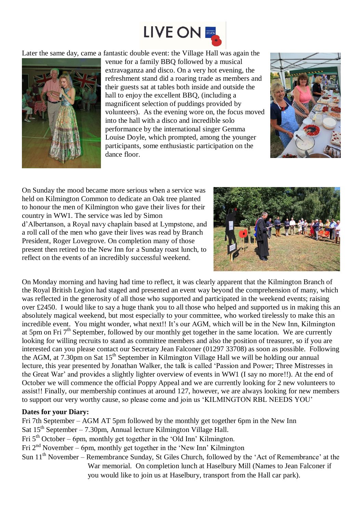

Later the same day, came a fantastic double event: the Village Hall was again the



venue for a family BBQ followed by a musical extravaganza and disco. On a very hot evening, the refreshment stand did a roaring trade as members and their guests sat at tables both inside and outside the hall to enjoy the excellent BBQ, (including a magnificent selection of puddings provided by volunteers). As the evening wore on, the focus moved into the hall with a disco and incredible solo performance by the international singer Gemma Louise Doyle, which prompted, among the younger participants, some enthusiastic participation on the dance floor.



On Sunday the mood became more serious when a service was held on Kilmington Common to dedicate an Oak tree planted to honour the men of Kilmington who gave their lives for their country in WW1. The service was led by Simon d'Albertanson, a Royal navy chaplain based at Lympstone, and a roll call of the men who gave their lives was read by Branch President, Roger Lovegrove. On completion many of those present then retired to the New Inn for a Sunday roast lunch, to reflect on the events of an incredibly successful weekend.



On Monday morning and having had time to reflect, it was clearly apparent that the Kilmington Branch of the Royal British Legion had staged and presented an event way beyond the comprehension of many, which was reflected in the generosity of all those who supported and participated in the weekend events; raising over £2450. I would like to say a huge thank you to all those who helped and supported us in making this an absolutely magical weekend, but most especially to your committee, who worked tirelessly to make this an incredible event. You might wonder, what next!! It's our AGM, which will be in the New Inn, Kilmington at 5pm on Fri 7<sup>th</sup> September, followed by our monthly get together in the same location. We are currently looking for willing recruits to stand as committee members and also the position of treasurer, so if you are interested can you please contact our Secretary Jean Falconer (01297 33708) as soon as possible. Following the AGM, at  $7.30 \text{pm}$  on Sat  $15^{\text{th}}$  September in Kilmington Village Hall we will be holding our annual lecture, this year presented by Jonathan Walker, the talk is called 'Passion and Power; Three Mistresses in the Great War' and provides a slightly lighter overview of events in WW1 (I say no more!!). At the end of October we will commence the official Poppy Appeal and we are currently looking for 2 new volunteers to assist!! Finally, our membership continues at around 127, however, we are always looking for new members to support our very worthy cause, so please come and join us 'KILMINGTON RBL NEEDS YOU'

## **Dates for your Diary:**

Fri 7th September – AGM AT 5pm followed by the monthly get together 6pm in the New Inn Sat  $15<sup>th</sup>$  September – 7.30pm, Annual lecture Kilmington Village Hall. Fri  $5<sup>th</sup> October – 6pm, monthly get together in the 'Old Inn' Kilmington.$ Fri  $2<sup>nd</sup>$  November – 6pm, monthly get together in the 'New Inn' Kilmington

Sun 11<sup>th</sup> November – Remembrance Sunday, St Giles Church, followed by the 'Act of Remembrance' at the War memorial. On completion lunch at Haselbury Mill (Names to Jean Falconer if you would like to join us at Haselbury, transport from the Hall car park).